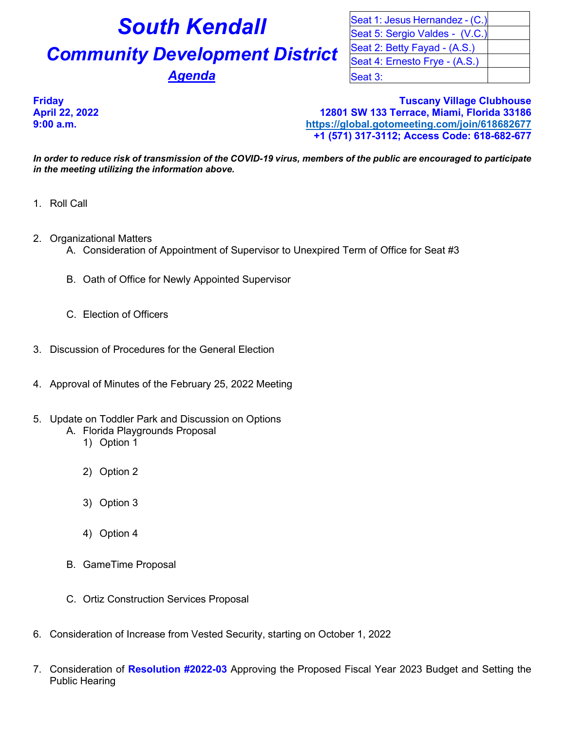## **South Kendall Community Development District** Agenda

| Seat 1: Jesus Hernandez - (C.) |  |
|--------------------------------|--|
| Seat 5: Sergio Valdes - (V.C.) |  |
| Seat 2: Betty Fayad - (A.S.)   |  |
| Seat 4: Ernesto Frye - (A.S.)  |  |
| Seat 3:                        |  |

**Friday Tuscany Village Clubhouse April 22, 2022 12801 SW 133 Terrace, Miami, Florida 33186 9:00 a.m. <https://global.gotomeeting.com/join/618682677> +1 (571) 317-3112; Access Code: 618-682-677**

*In order to reduce risk of transmission of the COVID-19 virus, members of the public are encouraged to participate in the meeting utilizing the information above.*

- 1. Roll Call
- 2. Organizational Matters
	- A. Consideration of Appointment of Supervisor to Unexpired Term of Office for Seat #3
	- B. Oath of Office for Newly Appointed Supervisor
	- C. Election of Officers
- 3. Discussion of Procedures for the General Election
- 4. Approval of Minutes of the February 25, 2022 Meeting
- 5. Update on Toddler Park and Discussion on Options
	- A. Florida Playgrounds Proposal
		- 1) Option 1
		- 2) Option 2
		- 3) Option 3
		- 4) Option 4
	- B. GameTime Proposal
	- C. Ortiz Construction Services Proposal
- 6. Consideration of Increase from Vested Security, starting on October 1, 2022
- 7. Consideration of **Resolution #2022-03** Approving the Proposed Fiscal Year 2023 Budget and Setting the Public Hearing